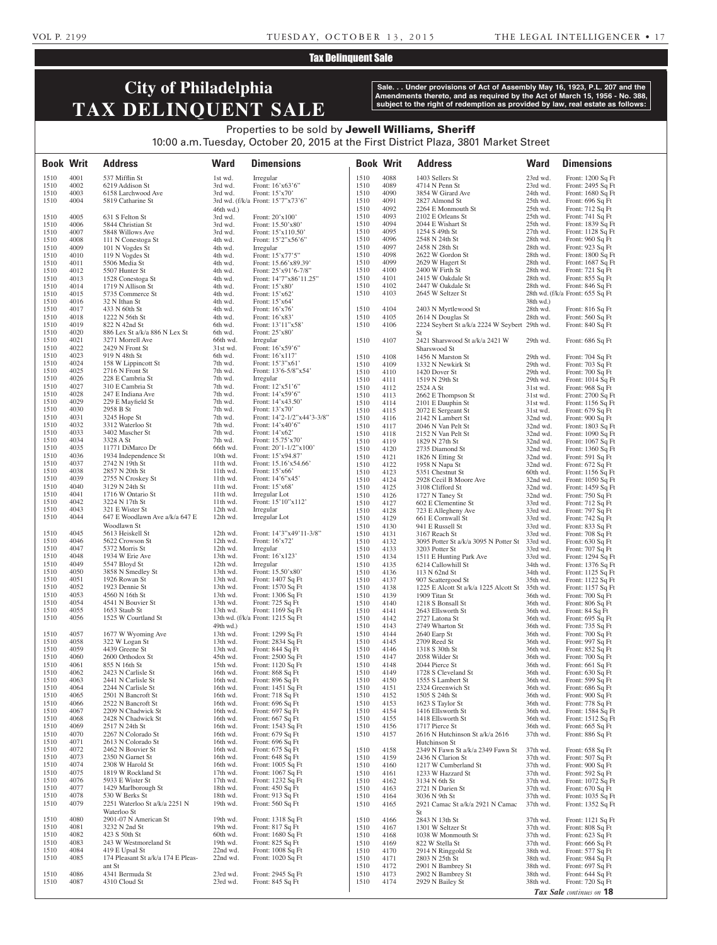## Tax Delinquent Sale

# **City of Philadelphia TAX DELINQUENT SALE**

**Sale. . . Under provisions of Act of Assembly May 16, 1923, P.L. 207 and the Amendments thereto, and as required by the Act of March 15, 1956 - No. 388, subject to the right of redemption as provided by law, real estate as follows:**

## Properties to be sold by Jewell Williams, Sheriff 10:00 a.m. Tuesday, October 20, 2015 at the First District Plaza, 3801 Market Street

| <b>Book Writ</b> |              | <b>Address</b>                                       | <b>Ward</b>          | <b>Dimensions</b>                                   | <b>Book Writ</b> |              | <b>Address</b>                                                     | <b>Ward</b>          | <b>Dimensions</b>                          |
|------------------|--------------|------------------------------------------------------|----------------------|-----------------------------------------------------|------------------|--------------|--------------------------------------------------------------------|----------------------|--------------------------------------------|
| 1510             | 4001         | 537 Mifflin St                                       | 1st wd.              | Irregular                                           | 1510             | 4088         | 1403 Sellers St                                                    | 23rd wd.             | Front: 1200 Sq Ft                          |
| 1510             | 4002         | 6219 Addison St                                      | 3rd wd.              | Front: 16'x63'6"                                    | 1510             | 4089         | 4714 N Penn St                                                     | 23rd wd.             | Front: 2495 Sq Ft                          |
| 1510<br>1510     | 4003<br>4004 | 6158 Larchwood Ave                                   | 3rd wd.              | Front: 15'x70'<br>3rd wd. (f/k/a Front: 15'7"x73'6" | 1510<br>1510     | 4090<br>4091 | 3854 W Girard Ave<br>2827 Almond St                                | 24th wd.<br>25th wd. | Front: $1680$ Sq Ft                        |
|                  |              | 5819 Catharine St                                    | $46th$ wd.)          |                                                     | 1510             | 4092         | 2264 E Monmouth St                                                 | 25th wd.             | Front: $696$ Sq Ft<br>Front: 712 Sq Ft     |
| 1510             | 4005         | 631 S Felton St                                      | 3rd wd.              | Front: 20'x100'                                     | 1510             | 4093         | 2102 E Orleans St                                                  | 25th wd.             | Front: 741 Sq Ft                           |
| 1510             | 4006         | 5844 Christian St                                    | 3rd wd.              | Front: 15.50'x80'                                   | 1510             | 4094         | 2044 E Wishart St                                                  | 25th wd.             | Front: 1839 Sq Ft                          |
| 1510             | 4007         | 5848 Willows Ave                                     | 3rd wd.              | Front: 15'x110.50'                                  | 1510<br>1510     | 4095<br>4096 | 1254 S 49th St<br>2548 N 24th St                                   | 27th wd.<br>28th wd. | Front: 1128 Sq Ft<br>Front: 960 Sq Ft      |
| 1510<br>1510     | 4008<br>4009 | 111 N Conestoga St<br>101 N Vogdes St                | 4th wd.<br>4th wd.   | Front: 15'2"x56'6"<br>Irregular                     | 1510             | 4097         | 2458 N 28th St                                                     | 28th wd.             | Front: 923 Sq Ft                           |
| 1510             | 4010         | 119 N Vogdes St                                      | 4th wd.              | Front: 15'x77'5"                                    | 1510             | 4098         | 2622 W Gordon St                                                   | 28th wd.             | Front: 1800 Sq Ft                          |
| 1510             | 4011         | 5506 Media St                                        | 4th wd.              | Front: 15.66'x89.39'                                | 1510             | 4099         | 2629 W Hagert St                                                   | 28th wd.             | Front: 1687 Sq Ft                          |
| 1510             | 4012<br>4013 | 5507 Hunter St                                       | 4th wd.              | Front: $25'x91'6-7/8"$                              | 1510<br>1510     | 4100<br>4101 | 2400 W Firth St<br>2415 W Oakdale St                               | 28th wd.<br>28th wd. | Front: 721 Sq Ft<br>Front: 855 Sq Ft       |
| 1510<br>1510     | 4014         | 1528 Conestoga St<br>1719 N Allison St               | 4th wd.<br>4th wd.   | Front: 14'7"x86'11.25"<br>Front: 15'x80'            | 1510             | 4102         | 2447 W Oakdale St                                                  | 28th wd.             | Front: 846 Sq Ft                           |
| 1510             | 4015         | 5735 Commerce St                                     | 4th wd.              | Front: 15'x62'                                      | 1510             | 4103         | 2645 W Seltzer St                                                  |                      | 28th wd. (f/k/a Front: 655 Sq Ft           |
| 1510             | 4016         | 32 N Ithan St                                        | 4th wd.              | Front: 15'x64'                                      |                  |              |                                                                    | $38th$ wd.)          |                                            |
| 1510<br>1510     | 4017<br>4018 | 433 N 60th St<br>1222 N 56th St                      | 4th wd.<br>4th wd.   | Front: $16'x76'$<br>Front: 16'x83'                  | 1510<br>1510     | 4104<br>4105 | 2403 N Myrtlewood St                                               | 28th wd.<br>28th wd. | Front: 816 Sq Ft                           |
| 1510             | 4019         | 822 N 42nd St                                        | 6th wd.              | Front: 13'11"x58'                                   | 1510             | 4106         | 2614 N Douglas St<br>2224 Seybert St a/k/a 2224 W Seybert 29th wd. |                      | Front: 560 Sq Ft<br>Front: 840 Sq Ft       |
| 1510             | 4020         | 886 Lex St a/k/a 886 N Lex St                        | 6th wd.              | Front: 25'x80'                                      |                  |              | St                                                                 |                      |                                            |
| 1510             | 4021         | 3271 Morrell Ave                                     | 66th wd.             | Irregular                                           | 1510             | 4107         | 2421 Sharswood St a/k/a 2421 W                                     | 29th wd.             | Front: 686 Sq Ft                           |
| 1510<br>1510     | 4022<br>4023 | 2429 N Front St                                      | 31st wd.             | Front: 16'x59'6"<br>Front: 16'x117'                 |                  |              | Sharswood St                                                       |                      |                                            |
| 1510             | 4024         | 919 N 48th St<br>158 W Lippincott St                 | 6th wd.<br>7th wd.   | Front: 15'3"x61'                                    | 1510<br>1510     | 4108<br>4109 | 1456 N Marston St<br>1332 N Newkirk St                             | 29th wd.<br>29th wd. | Front: 704 Sq Ft<br>Front: 703 Sq Ft       |
| 1510             | 4025         | 2716 N Front St                                      | 7th wd.              | Front: $13'6-5/8''x54'$                             | 1510             | 4110         | 1420 Dover St                                                      | 29th wd.             | Front: 700 Sq Ft                           |
| 1510             | 4026         | 228 E Cambria St                                     | 7th wd.              | Irregular                                           | 1510             | 4111         | 1519 N 29th St                                                     | 29th wd.             | Front: $1014$ Sq Ft                        |
| 1510             | 4027         | 310 E Cambria St                                     | 7th wd.              | Front: 12'x51'6"                                    | 1510             | 4112         | 2524 A St                                                          | 31st wd.             | Front: 968 Sq Ft                           |
| 1510<br>1510     | 4028<br>4029 | 247 E Indiana Ave<br>229 E Mayfield St               | 7th wd.<br>7th wd.   | Front: 14'x59'6"<br>Front: $14'x43.50'$             | 1510<br>1510     | 4113<br>4114 | 2662 E Thompson St<br>2101 E Dauphin St                            | 31st wd.             | Front: 2700 Sq Ft<br>Front: 1156 Sq Ft     |
| 1510             | 4030         | 2958 B St                                            | 7th wd.              | Front: 13'x70'                                      | 1510             | 4115         | 2072 E Sergeant St                                                 | 31st wd.<br>31st wd. | Front: 679 Sq Ft                           |
| 1510             | 4031         | 3245 Hope St                                         | 7th wd.              | Front: 14'2-1/2"x44'3-3/8"                          | 1510             | 4116         | 2142 N Lambert St                                                  | 32nd wd.             | Front: 900 Sq Ft                           |
| 1510             | 4032         | 3312 Waterloo St                                     | 7th wd.              | Front: $14'x40'6"$                                  | 1510             | 4117         | 2046 N Van Pelt St                                                 | 32nd wd.             | Front: 1803 Sq Ft                          |
| 1510<br>1510     | 4033<br>4034 | 3402 Mascher St<br>3328 A St                         | 7th wd.<br>7th wd.   | Front: 14'x62'<br>Front: 15.75'x70'                 | 1510             | 4118         | 2152 N Van Pelt St                                                 | 32nd wd.             | Front: 1090 Sq Ft                          |
| 1510             | 4035         | 11771 DiMarco Dr                                     | 66th wd.             | Front: $20'1-1/2''x100'$                            | 1510<br>1510     | 4119<br>4120 | 1829 N 27th St<br>2735 Diamond St                                  | 32nd wd.<br>32nd wd. | Front: $1067$ Sq Ft<br>Front: $1360$ Sq Ft |
| 1510             | 4036         | 1934 Independence St                                 | 10th wd.             | Front: 15'x94.87'                                   | 1510             | 4121         | 1826 N Etting St                                                   | 32nd wd.             | Front: 591 Sq Ft                           |
| 1510             | 4037         | 2742 N 19th St                                       | 11th wd.             | Front: 15.16'x54.66'                                | 1510             | 4122         | 1958 N Napa St                                                     | 32nd wd.             | Front: 672 Sq Ft                           |
| 1510<br>1510     | 4038<br>4039 | 2857 N 20th St<br>2755 N Croskey St                  | 11th wd.<br>11th wd. | Front: 15'x66'<br>Front: 14'6"x45'                  | 1510             | 4123         | 5351 Chestnut St                                                   | 60th wd.             | Front: 1156 Sq Ft                          |
| 1510             | 4040         | 3129 N 24th St                                       | 11th wd.             | Front: 15'x68'                                      | 1510<br>1510     | 4124<br>4125 | 2928 Cecil B Moore Ave<br>3108 Clifford St                         | 32nd wd.<br>32nd wd. | Front: 1050 Sq Ft<br>Front: 1459 Sq Ft     |
| 1510             | 4041         | 1716 W Ontario St                                    | 11th wd.             | Irregular Lot                                       | 1510             | 4126         | 1727 N Taney St                                                    | 32nd wd.             | Front: 750 Sq Ft                           |
| 1510             | 4042         | 3224 N 17th St                                       | $11th$ wd.           | Front: 15'10"x112'                                  | 1510             | 4127         | 602 E Clementine St                                                | 33rd wd.             | Front: 712 Sq Ft                           |
| 1510             | 4043<br>4044 | 321 E Wister St                                      | 12th wd.             | Irregular<br>Irregular Lot                          | 1510             | 4128         | 723 E Allegheny Ave                                                | 33rd wd.             | Front: 797 Sq Ft                           |
| 1510             |              | 647 E Woodlawn Ave a/k/a 647 E<br>Woodlawn St        | 12th wd.             |                                                     | 1510<br>1510     | 4129<br>4130 | 661 E Cornwall St<br>941 E Russell St                              | 33rd wd.<br>33rd wd. | Front: 742 Sq Ft<br>Front: 833 Sq Ft       |
| 1510             | 4045         | 5613 Heiskell St                                     | 12th wd.             | Front: 14'3"x49'11-3/8"                             | 1510             | 4131         | 3167 Reach St                                                      | 33rd wd.             | Front: 708 Sq Ft                           |
| 1510             | 4046         | 5622 Crowson St                                      | 12th wd.             | Front: $16'x72'$                                    | 1510             | 4132         | 3095 Potter St a/k/a 3095 N Potter St 33rd wd.                     |                      | Front: $630$ Sq Ft                         |
| 1510             | 4047         | 5372 Morris St                                       | 12th wd.             | Irregular                                           | 1510             | 4133         | 3203 Potter St                                                     | 33rd wd.             | Front: 707 Sq Ft                           |
| 1510<br>1510     | 4048<br>4049 | 1934 W Erie Ave<br>5547 Bloyd St                     | 13th wd.<br>12th wd. | Front: 16'x123'<br>Irregular                        | 1510<br>1510     | 4134<br>4135 | 1511 E Hunting Park Ave<br>6214 Callowhill St                      | 33rd wd.<br>34th wd. | Front: 1294 Sq Ft<br>Front: 1376 Sq Ft     |
| 1510             | 4050         | 3858 N Smedley St                                    | 13th wd.             | Front: 15.50'x80'                                   | 1510             | 4136         | 113 N 62nd St                                                      | 34th wd.             | Front: $1125$ Sq Ft                        |
| 1510             | 4051         | 1926 Rowan St                                        | 13th wd.             | Front: 1407 Sq Ft                                   | 1510             | 4137         | 907 Scattergood St                                                 | 35th wd.             | Front: 1122 Sq Ft                          |
| 1510             | 4052         | 1923 Dennie St                                       | 13th wd.             | Front: 1570 Sq Ft                                   | 1510             | 4138         | 1225 E Alcott St a/k/a 1225 Alcott St                              | 35th wd.             | Front: 1157 Sq Ft                          |
| 1510<br>1510     | 4053<br>4054 | 4560 N 16th St<br>4541 N Bouvier St                  | 13th wd.<br>13th wd. | Front: 1306 Sq Ft<br>Front: $725$ Sq Ft             | 1510<br>1510     | 4139<br>4140 | 1909 Titan St<br>1218 S Bonsall St                                 | 36th wd.<br>36th wd. | Front: 700 Sq Ft<br>Front: 806 Sq Ft       |
| 1510             | 4055         | 1653 Staub St                                        | 13th wd.             | Front: 1169 Sq Ft                                   | 1510             | 4141         | 2643 Ellsworth St                                                  | 36th wd.             | Front: 84 Sq Ft                            |
| 1510             | 4056         | 1525 W Courtland St                                  |                      | 13th wd. (f/k/a Front: 1215 Sq Ft                   | 1510             | 4142         | 2727 Latona St                                                     | 36th wd.             | Front: $695$ Sq Ft                         |
|                  |              |                                                      | $49th$ wd.)          |                                                     | 1510             | 4143         | 2749 Wharton St                                                    | 36th wd.             | Front: 735 Sq Ft                           |
| 1510             | 4057         | 1677 W Wyoming Ave                                   | 13th wd.             | Front: 1299 Sq Ft<br>Front: 2834 Sq Ft              | 1510             | 4144         | 2640 Earp St                                                       | 36th wd.             | Front: 700 Sq Ft                           |
| 1510<br>1510     | 4058<br>4059 | 322 W Logan St<br>4439 Greene St                     | 13th wd.<br>13th wd. | Front: 844 Sq Ft                                    | 1510<br>1510     | 4145<br>4146 | 2709 Reed St<br>1318 S 30th St                                     | 36th wd.<br>36th wd. | Front: 997 Sq Ft<br>Front: 852 Sq Ft       |
| 1510             | 4060         | 2600 Orthodox St                                     | 45th wd.             | Front: 2500 Sq Ft                                   | 1510             | 4147         | 2058 Wilder St                                                     | 36th wd.             | Front: 700 Sq Ft                           |
| 1510             | 4061         | 855 N 16th St                                        | 15th wd.             | Front: 1120 Sq Ft                                   | 1510             | 4148         | 2044 Pierce St                                                     | 36th wd.             | Front: $661$ Sq Ft                         |
| 1510             | 4062         | 2423 N Carlisle St                                   | 16th wd.             | Front: 868 Sq Ft                                    | 1510             | 4149         | 1728 S Cleveland St                                                | 36th wd.             | Front: $630$ Sq Ft                         |
| 1510<br>1510     | 4063<br>4064 | 2441 N Carlisle St<br>2244 N Carlisle St             | 16th wd.<br>16th wd. | Front: 896 Sq Ft<br>Front: 1451 Sq Ft               | 1510<br>1510     | 4150<br>4151 | 1555 S Lambert St<br>2324 Greenwich St                             | 36th wd.<br>36th wd. | Front: 599 Sq Ft<br>Front: 686 Sq Ft       |
| 1510             | 4065         | 2501 N Bancroft St                                   | 16th wd.             | Front: 718 Sq Ft                                    | 1510             | 4152         | 1505 S 24th St                                                     | 36th wd.             | Front: 900 Sq Ft                           |
| 1510             | 4066         | 2522 N Bancroft St                                   | 16th wd.             | Front: 696 Sq Ft                                    | 1510             | 4153         | 1623 S Taylor St                                                   | 36th wd.             | Front: 778 Sq Ft                           |
| 1510             | 4067         | 2209 N Chadwick St                                   | 16th wd.             | Front: 697 Sq Ft                                    | 1510             | 4154         | 1416 Ellsworth St                                                  | 36th wd.             | Front: 1584 Sq Ft                          |
| 1510<br>1510     | 4068<br>4069 | 2428 N Chadwick St<br>2517 N 24th St                 | 16th wd.<br>16th wd. | Front: 667 Sq Ft<br>Front: 1543 Sq Ft               | 1510<br>1510     | 4155<br>4156 | 1418 Ellsworth St<br>1717 Pierce St                                | 36th wd.<br>36th wd. | Front: 1512 Sq Ft<br>Front: $665$ Sq Ft    |
| 1510             | 4070         | 2267 N Colorado St                                   | 16th wd.             | Front: 679 Sq Ft                                    | 1510             | 4157         | 2616 N Hutchinson St a/k/a 2616                                    | 37th wd.             | Front: 886 Sq Ft                           |
| 1510             | 4071         | 2613 N Colorado St                                   | 16th wd.             | Front: 696 Sq Ft                                    |                  |              | Hutchinson St                                                      |                      |                                            |
| 1510             | 4072         | 2462 N Bouvier St                                    | 16th wd.             | Front: 675 Sq Ft                                    | 1510             | 4158         | 2349 N Fawn St a/k/a 2349 Fawn St                                  | 37th wd.             | Front: 658 Sq Ft                           |
| 1510<br>1510     | 4073<br>4074 | 2350 N Garnet St<br>2308 W Harold St                 | 16th wd.             | Front: 648 Sq Ft<br>Front: 1005 Sq Ft               | 1510             | 4159         | 2436 N Clarion St                                                  | 37th wd.             | Front: 507 Sq Ft                           |
| 1510             | 4075         | 1819 W Rockland St                                   | 16th wd.<br>17th wd. | Front: 1067 Sq Ft                                   | 1510<br>1510     | 4160<br>4161 | 1217 W Cumberland St<br>1233 W Hazzard St                          | 37th wd.<br>37th wd. | Front: 900 Sq Ft<br>Front: $592$ Sq Ft     |
| 1510             | 4076         | 5933 E Wister St                                     | 17th wd.             | Front: 1232 Sq Ft                                   | 1510             | 4162         | 3134 N 6th St                                                      | 37th wd.             | Front: 1072 Sq Ft                          |
| 1510             | 4077         | 1429 Marlborough St                                  | 18th wd.             | Front: 450 Sq Ft                                    | 1510             | 4163         | 2721 N Darien St                                                   | 37th wd.             | Front: 670 Sq Ft                           |
| 1510             | 4078         | 530 W Berks St                                       | 18th wd.             | Front: 913 Sq Ft                                    | 1510             | 4164         | 3036 N 9th St                                                      | 37th wd.             | Front: 1035 Sq Ft                          |
| 1510             | 4079         | 2251 Waterloo St a/k/a 2251 N<br>Waterloo St         | 19th wd.             | Front: 560 Sq Ft                                    | 1510             | 4165         | 2921 Camac St a/k/a 2921 N Camac                                   | 37th wd.             | Front: 1352 Sq Ft                          |
| 1510             | 4080         | 2901-07 N American St                                | 19th wd.             | Front: 1318 Sq Ft                                   | 1510             | 4166         | St.<br>2843 N 13th St                                              | 37th wd.             | Front: 1121 Sq Ft                          |
| 1510             | 4081         | 3232 N 2nd St                                        | 19th wd.             | Front: 817 Sq Ft                                    | 1510             | 4167         | 1301 W Seltzer St                                                  | 37th wd.             | Front: 808 Sq Ft                           |
| 1510             | 4082         | 423 S 50th St                                        | 60th wd.             | Front: 1680 Sq Ft                                   | 1510             | 4168         | 1038 W Monmouth St                                                 | 37th wd.             | Front: 623 Sq Ft                           |
| 1510             | 4083         | 243 W Westmoreland St                                | 19th wd.             | Front: $825$ Sq Ft                                  | 1510             | 4169         | 822 W Stella St                                                    | 37th wd.             | Front: $666$ Sq Ft                         |
| 1510<br>1510     | 4084<br>4085 | 419 E Upsal St<br>174 Pleasant St a/k/a 174 E Pleas- | 22nd wd.<br>22nd wd. | Front: 1008 Sq Ft<br>Front: 1020 Sq Ft              | 1510<br>1510     | 4170<br>4171 | 2914 N Ringgold St<br>2803 N 25th St                               | 38th wd.<br>38th wd. | Front: 577 Sq Ft<br>Front: 984 Sq Ft       |
|                  |              | ant St                                               |                      |                                                     | 1510             | 4172         | 2901 N Bambrey St                                                  | 38th wd.             | Front: 697 Sq Ft                           |
| 1510             | 4086         | 4341 Bermuda St                                      | 23rd wd.             | Front: 2945 Sq Ft                                   | 1510             | 4173         | 2902 N Bambrey St                                                  | 38th wd.             | Front: 644 Sq Ft                           |
| 1510             | 4087         | 4310 Cloud St                                        | 23rd wd.             | Front: 845 Sq Ft                                    | 1510             | 4174         | 2929 N Bailey St                                                   | 38th wd.             | Front: 720 Sq Ft                           |
|                  |              |                                                      |                      |                                                     |                  |              |                                                                    |                      | Tax Sale continues on 18                   |